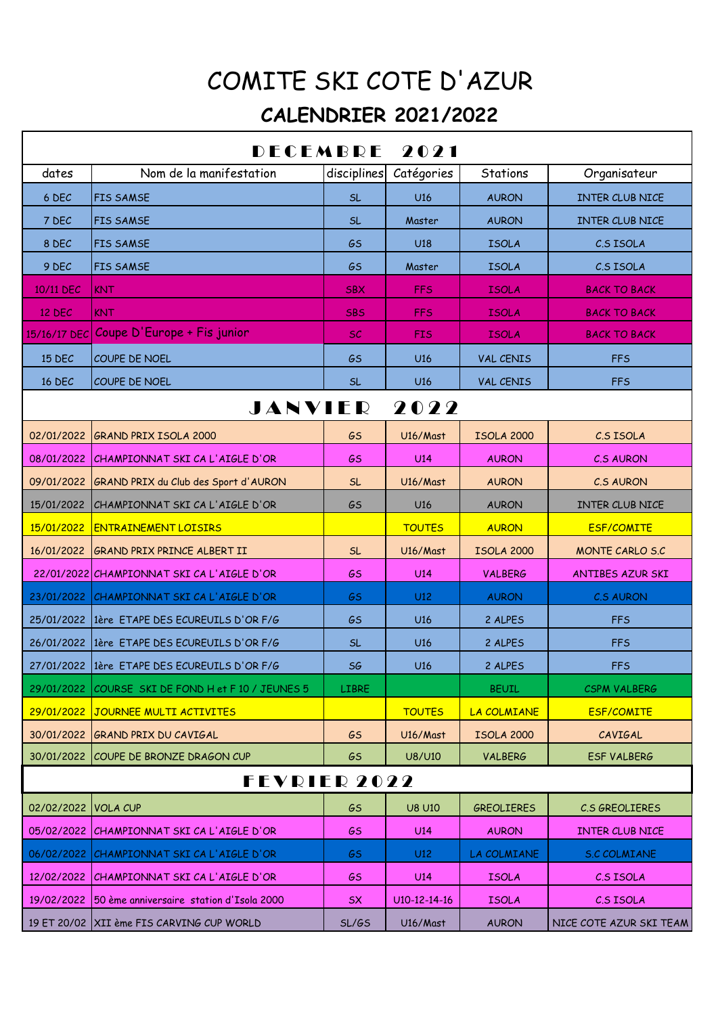## COMITE SKI COTE D'AZUR  **CALENDRIER 2021/2022**

|                     | DECEMBRE                                            |              | 2021          |                   |                         |  |  |
|---------------------|-----------------------------------------------------|--------------|---------------|-------------------|-------------------------|--|--|
| dates               | Nom de la manifestation                             | disciplines  | Catégories    | Stations          | Organisateur            |  |  |
| 6 DEC               | <b>FIS SAMSE</b>                                    | <b>SL</b>    | U16           | <b>AURON</b>      | <b>INTER CLUB NICE</b>  |  |  |
| 7 DEC               | <b>FIS SAMSE</b>                                    | SL           | Master        | <b>AURON</b>      | <b>INTER CLUB NICE</b>  |  |  |
| 8 DEC               | <b>FIS SAMSE</b>                                    | <b>GS</b>    | U18           | <b>ISOLA</b>      | C.S ISOLA               |  |  |
| 9 DEC               | <b>FIS SAMSE</b>                                    | <b>GS</b>    | Master        | <b>ISOLA</b>      | C.S ISOLA               |  |  |
| 10/11 DEC           | <b>KNT</b>                                          | <b>SBX</b>   | <b>FFS</b>    | <b>ISOLA</b>      | <b>BACK TO BACK</b>     |  |  |
| 12 DEC              | <b>KNT</b>                                          | <b>SBS</b>   | <b>FFS</b>    | <b>ISOLA</b>      | <b>BACK TO BACK</b>     |  |  |
|                     | 15/16/17 DEC Coupe D'Europe + Fis junior            | SC           | <b>FIS</b>    | <b>ISOLA</b>      | <b>BACK TO BACK</b>     |  |  |
| 15 DEC              | COUPE DE NOEL                                       | <b>GS</b>    | U16           | VAL CENIS         | <b>FFS</b>              |  |  |
| 16 DEC              | COUPE DE NOEL                                       | SL           | U16           | <b>VAL CENIS</b>  | <b>FFS</b>              |  |  |
| JANVIER<br>2022     |                                                     |              |               |                   |                         |  |  |
| 02/01/2022          | <b>GRAND PRIX ISOLA 2000</b>                        | GS           | U16/Mast      | <b>ISOLA 2000</b> | C.S ISOLA               |  |  |
|                     | 08/01/2022 CHAMPIONNAT SKI CA L'AIGLE D'OR          | <b>GS</b>    | U14           | <b>AURON</b>      | <b>C.S AURON</b>        |  |  |
|                     | 09/01/2022 GRAND PRIX du Club des Sport d'AURON     | SL           | U16/Mast      | <b>AURON</b>      | C.S AURON               |  |  |
|                     | 15/01/2022 CHAMPIONNAT SKI CA L'AIGLE D'OR          | GS           | U16           | <b>AURON</b>      | INTER CLUB NICE         |  |  |
|                     | 15/01/2022 ENTRAINEMENT LOISIRS                     |              | <b>TOUTES</b> | <b>AURON</b>      | <b>ESF/COMITE</b>       |  |  |
|                     | 16/01/2022 GRAND PRIX PRINCE ALBERT II              | <b>SL</b>    | U16/Mast      | <b>ISOLA 2000</b> | MONTE CARLO S.C         |  |  |
|                     | 22/01/2022 CHAMPIONNAT SKI CA L'AIGLE D'OR          | <b>GS</b>    | U14           | <b>VALBERG</b>    | <b>ANTIBES AZUR SKI</b> |  |  |
|                     | 23/01/2022 CHAMPIONNAT SKI CA L'AIGLE D'OR          | <b>GS</b>    | U12           | <b>AURON</b>      | <b>C.S AURON</b>        |  |  |
|                     | 25/01/2022 1ère ETAPE DES ECUREUILS D'OR F/G        | <b>GS</b>    | U16           | 2 ALPES           | <b>FFS</b>              |  |  |
|                     | 26/01/2022 1ère ETAPE DES ECUREUILS D'OR F/G        | <b>SL</b>    | U16           | 2 ALPES           | <b>FFS</b>              |  |  |
|                     | 27/01/2022 1ère ETAPE DES ECUREUILS D'OR F/G        | <b>SG</b>    | U16           | 2 ALPES           | <b>FFS</b>              |  |  |
|                     | 29/01/2022 COURSE SKI DE FOND H et F 10 / JEUNES 5  | <b>LIBRE</b> |               | <b>BEUIL</b>      | <b>CSPM VALBERG</b>     |  |  |
|                     | <u>29/01/2022 IJOURNEE MULTI ACTIVITES</u>          |              | <b>TOUTES</b> | LA COLMIANE       | <b>ESF/COMITE</b>       |  |  |
|                     | 30/01/2022 GRAND PRIX DU CAVIGAL                    | GS           | U16/Mast      | <b>ISOLA 2000</b> | CAVIGAL                 |  |  |
|                     | 30/01/2022 COUPE DE BRONZE DRAGON CUP               | GS           | U8/U10        | <b>VALBERG</b>    | <b>ESF VALBERG</b>      |  |  |
|                     | <b>FEVRIER 2022</b>                                 |              |               |                   |                         |  |  |
| 02/02/2022 VOLA CUP |                                                     | <b>GS</b>    | <b>U8 U10</b> | <b>GREOLIERES</b> | C.S GREOLIERES          |  |  |
|                     | 05/02/2022 CHAMPIONNAT SKI CA L'AIGLE D'OR          | <b>GS</b>    | U14           | <b>AURON</b>      | <b>INTER CLUB NICE</b>  |  |  |
|                     | 06/02/2022 CHAMPIONNAT SKI CA L'AIGLE D'OR          | GS.          | U12           | LA COLMIANE       | <b>S.C COLMIANE</b>     |  |  |
|                     | 12/02/2022 CHAMPIONNAT SKI CA L'AIGLE D'OR          | GS           | U14           | <b>ISOLA</b>      | C.S ISOLA               |  |  |
|                     | 19/02/2022 50 ème anniversaire station d'Isola 2000 | <b>SX</b>    | U10-12-14-16  | <b>ISOLA</b>      | C.S ISOLA               |  |  |
|                     | 19 ET 20/02   XII ème FIS CARVING CUP WORLD         | SL/GS        | U16/Mast      | <b>AURON</b>      | NICE COTE AZUR SKI TEAM |  |  |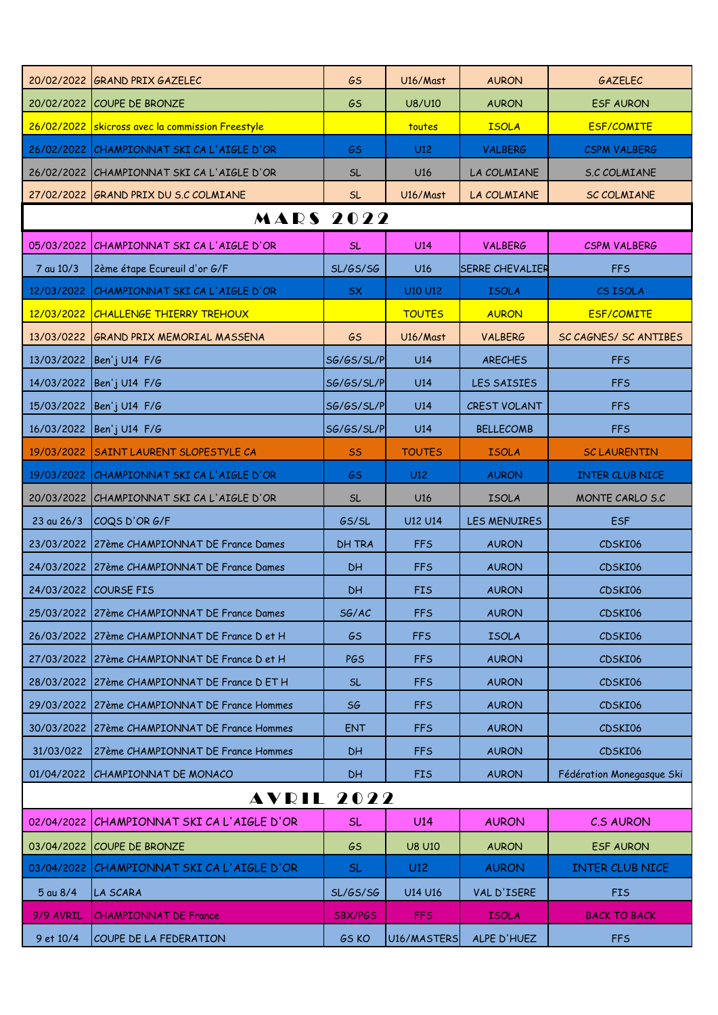|                                                                                                         | 20/02/2022 GRAND PRIX GAZELEC                    | GS                | U16/Mast        | <b>AURON</b>           | GAZELEC                   |  |  |  |
|---------------------------------------------------------------------------------------------------------|--------------------------------------------------|-------------------|-----------------|------------------------|---------------------------|--|--|--|
|                                                                                                         | 20/02/2022 COUPE DE BRONZE                       | GS                | U8/U10          | <b>AURON</b>           | <b>ESF AURON</b>          |  |  |  |
|                                                                                                         | 26/02/2022 skicross avec la commission Freestyle |                   | toutes          | <b>ISOLA</b>           | <b>ESF/COMITE</b>         |  |  |  |
| 26/02/2022                                                                                              | CHAMPIONNAT SKI CA L'AIGLE D'OR                  | GS.               | U12             | <b>VALBERG</b>         | <b>CSPM VALBERG</b>       |  |  |  |
|                                                                                                         | 26/02/2022 CHAMPIONNAT SKI CA L'AIGLE D'OR       | <b>SL</b>         | U <sub>16</sub> | LA COLMIANE            | <b>S.C COLMIANE</b>       |  |  |  |
|                                                                                                         | 27/02/2022 GRAND PRIX DU S.C COLMIANE            | <b>SL</b>         | U16/Mast        | LA COLMIANE            | <b>SC COLMIANE</b>        |  |  |  |
| <b>MARS 2022</b>                                                                                        |                                                  |                   |                 |                        |                           |  |  |  |
| 05/03/2022 CHAMPIONNAT SKI CA L'AIGLE D'OR<br>U14<br><b>VALBERG</b><br><b>SL</b><br><b>CSPM VALBERG</b> |                                                  |                   |                 |                        |                           |  |  |  |
| 7 au 10/3                                                                                               | 2ème étape Ecureuil d'or G/F                     | SL/GS/SG          | U16             | <b>SERRE CHEVALIER</b> | <b>FFS</b>                |  |  |  |
| 12/03/2022                                                                                              | CHAMPIONNAT SKI CA L'AIGLE D'OR                  | SX.               | <b>U10 U12</b>  | <b>ISOLA</b>           | CS ISOLA                  |  |  |  |
| 12/03/2022                                                                                              | <b>CHALLENGE THIERRY TREHOUX</b>                 |                   | <b>TOUTES</b>   | <b>AURON</b>           | <b>ESF/COMITE</b>         |  |  |  |
| 13/03/0222                                                                                              | <b>GRAND PRIX MEMORIAL MASSENA</b>               | <b>GS</b>         | U16/Mast        | <b>VALBERG</b>         | SC CAGNES/ SC ANTIBES     |  |  |  |
| 13/03/2022                                                                                              | $\beta$ en'j U14 F/G                             | <b>SG/GS/SL/P</b> | U14             | <b>ARECHES</b>         | <b>FFS</b>                |  |  |  |
| 14/03/2022                                                                                              | Ben'j U14 F/G                                    | SG/GS/SL/P        | U14             | <b>LES SAISIES</b>     | <b>FFS</b>                |  |  |  |
|                                                                                                         | 15/03/2022 Ben'j U14 F/G                         | <b>SG/GS/SL/P</b> | U14             | CREST VOLANT           | <b>FFS</b>                |  |  |  |
| 16/03/2022                                                                                              | Ben'j U14 $F/G$                                  | <b>SG/GS/SL/P</b> | U14             | <b>BELLECOMB</b>       | <b>FFS</b>                |  |  |  |
| 19/03/2022                                                                                              | <b>SAINT LAURENT SLOPESTYLE CA</b>               | <b>SS</b>         | <b>TOUTES</b>   | <b>ISOLA</b>           | <b>SC LAURENTIN</b>       |  |  |  |
| 19/03/2022                                                                                              | CHAMPIONNAT SKI CA L'AIGLE D'OR                  | <b>GS</b>         | U12             | <b>AURON</b>           | <b>INTER CLUB NICE</b>    |  |  |  |
|                                                                                                         | 20/03/2022 CHAMPIONNAT SKI CA L'AIGLE D'OR       | <b>SL</b>         | U <sub>16</sub> | <b>ISOLA</b>           | MONTE CARLO S.C           |  |  |  |
| $23$ au $26/3$                                                                                          | COQS D'OR G/F                                    | GS/SL             | <b>U12 U14</b>  | <b>LES MENUIRES</b>    | <b>ESF</b>                |  |  |  |
| 23/03/2022                                                                                              | 27ème CHAMPIONNAT DE France Dames                | <b>DH TRA</b>     | <b>FFS</b>      | <b>AURON</b>           | CDSKI06                   |  |  |  |
| 24/03/2022                                                                                              | 27ème CHAMPIONNAT DE France Dames                | <b>DH</b>         | <b>FFS</b>      | <b>AURON</b>           | CDSKI06                   |  |  |  |
|                                                                                                         | 24/03/2022 COURSE FIS                            | DН                | <b>FIS</b>      | <b>AURON</b>           | CDSKI06                   |  |  |  |
| 25/03/2022                                                                                              | 27ème CHAMPIONNAT DE France Dames                | SG/AC             | <b>FFS</b>      | <b>AURON</b>           | CDSKI06                   |  |  |  |
| 26/03/2022                                                                                              | 27ème CHAMPIONNAT DE France D et H               | <b>GS</b>         | <b>FFS</b>      | <b>ISOLA</b>           | CDSKI06                   |  |  |  |
| 27/03/2022                                                                                              | 27ème CHAMPIONNAT DE France D et H               | PGS               | <b>FFS</b>      | <b>AURON</b>           | CDSKI06                   |  |  |  |
| 28/03/2022                                                                                              | 27ème CHAMPIONNAT DE France D ET H               | <b>SL</b>         | <b>FFS</b>      | <b>AURON</b>           | CDSKI06                   |  |  |  |
| 29/03/2022                                                                                              | 27ème CHAMPIONNAT DE France Hommes               | SG                | <b>FFS</b>      | <b>AURON</b>           | CDSKI06                   |  |  |  |
| 30/03/2022                                                                                              | 27ème CHAMPIONNAT DE France Hommes               | ENT               | <b>FFS</b>      | <b>AURON</b>           | CDSKI06                   |  |  |  |
| 31/03/022                                                                                               | 27ème CHAMPIONNAT DE France Hommes               | <b>DH</b>         | <b>FFS</b>      | <b>AURON</b>           | CDSKI06                   |  |  |  |
|                                                                                                         | 01/04/2022 CHAMPIONNAT DE MONACO                 | DН                | <b>FIS</b>      | <b>AURON</b>           | Fédération Monegasque Ski |  |  |  |
| <b>AVRIL 2022</b>                                                                                       |                                                  |                   |                 |                        |                           |  |  |  |
| 02/04/2022                                                                                              | CHAMPIONNAT SKI CA L'AIGLE D'OR                  | <b>SL</b>         | U14             | <b>AURON</b>           | <b>C.S AURON</b>          |  |  |  |
|                                                                                                         | 03/04/2022 COUPE DE BRONZE                       | GS                | <b>U8 U10</b>   | <b>AURON</b>           | <b>ESF AURON</b>          |  |  |  |
| 03/04/2022                                                                                              | CHAMPIONNAT SKI CA L'AIGLE D'OR                  | <b>SL</b>         | U12             | <b>AURON</b>           | <b>INTER CLUB NICE</b>    |  |  |  |
| 5 au 8/4                                                                                                | LA SCARA                                         | <b>SL/GS/SG</b>   | <b>U14 U16</b>  | VAL D'ISERE            | <b>FIS</b>                |  |  |  |
| 9/9 AVRIL                                                                                               | <b>CHAMPIONNAT DE France</b>                     | SBX/PGS           | <b>FFS</b>      | <b>ISOLA</b>           | <b>BACK TO BACK</b>       |  |  |  |
| 9 et 10/4                                                                                               | COUPE DE LA FEDERATION                           | <b>GS KO</b>      | U16/MASTERS     | ALPE D'HUEZ            | <b>FFS</b>                |  |  |  |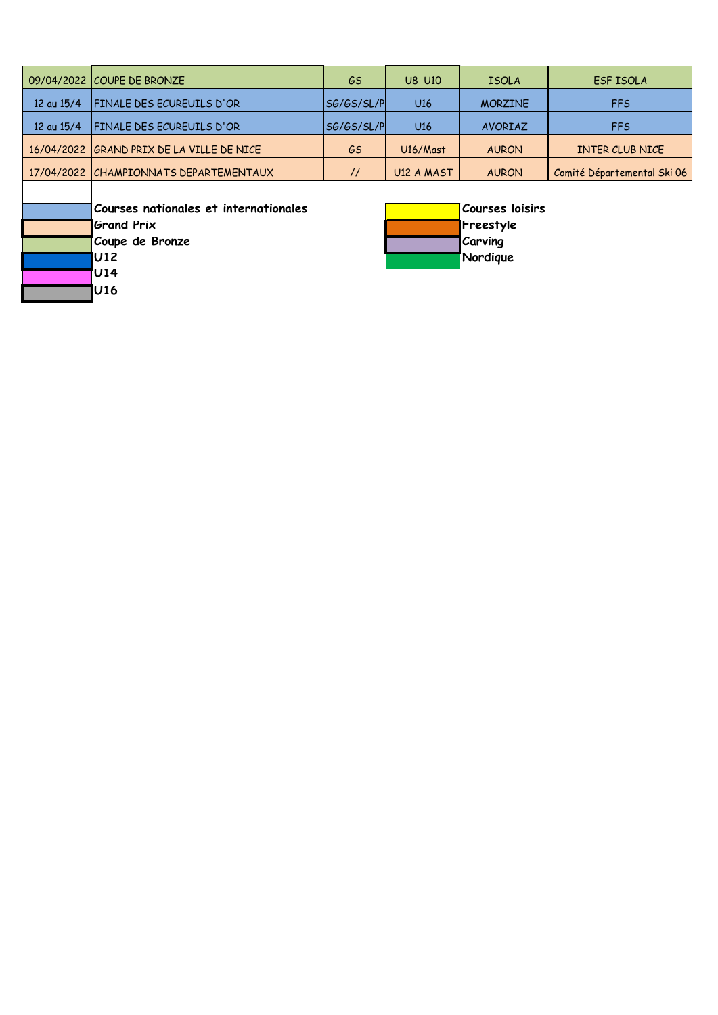|            | 09/04/2022 COUPE DE BRONZE             | GS.           | <b>U8 U10</b> | <b>ISOLA</b>    | <b>ESF ISOLA</b>            |
|------------|----------------------------------------|---------------|---------------|-----------------|-----------------------------|
| 12 au 15/4 | FINALE DES ECUREUILS D'OR              | SG/GS/SL/P    | U16           | <b>MORZINE</b>  | <b>FFS</b>                  |
| 12 au 15/4 | <b>FINALE DES ECUREUILS D'OR</b>       | SG/GS/SL/P    | U16           | AVORIAZ         | <b>FFS</b>                  |
| 16/04/2022 | GRAND PRIX DE LA VILLE DE NICE         | GS            | U16/Mast      | <b>AURON</b>    | <b>INTER CLUB NICE</b>      |
|            | 17/04/2022 CHAMPIONNATS DEPARTEMENTAUX | $\frac{1}{2}$ | U12 A MAST    | <b>AURON</b>    | Comité Départemental Ski 06 |
|            |                                        |               |               |                 |                             |
|            | Courses nationales et internationales  |               |               | Courses Ioisirs |                             |
|            | <b>Grand Prix</b>                      |               | Freestyle     |                 |                             |
|            | Coupe de Bronze                        |               |               | Carving         |                             |
|            | U12                                    |               |               | Nordique        |                             |

- **U14**
- **U16**